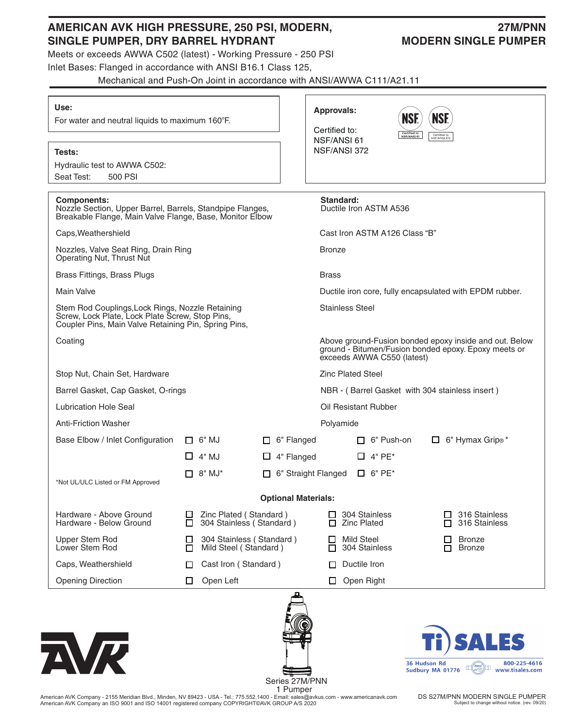## **AMERICAN AVK HIGH PRESSURE, 250 PSI, MODERN, 27M/PNN**  SINGLE PUMPER, DRY BARREL HYDRANT MODERN SINGLE PUMPER

Meets or exceeds AWWA C502 (latest) - Working Pressure - 250 PSI

Inlet Bases: Flanged in accordance with ANSI B16.1 Class 125,

Mechanical and Push-On Joint in accordance with ANSI/AWWA C111/A21.11

| Use:<br>For water and neutral liquids to maximum 160°F.                                                                                                     |                                                             | <b>Approvals:</b><br>Certified to:       | <b>NSF.</b><br><b>NSF.</b><br>Certified to<br>NSF/ANSI 61                                                                                    |  |  |  |  |
|-------------------------------------------------------------------------------------------------------------------------------------------------------------|-------------------------------------------------------------|------------------------------------------|----------------------------------------------------------------------------------------------------------------------------------------------|--|--|--|--|
| Tests:<br>Hydraulic test to AWWA C502:<br>Seat Test:<br>500 PSI                                                                                             |                                                             | NSF/ANSI 61<br>NSF/ANSI 372              | Certified to<br>NSF/ANSI 372                                                                                                                 |  |  |  |  |
| <b>Components:</b><br>Nozzle Section, Upper Barrel, Barrels, Standpipe Flanges,<br>Breakable Flange, Main Valve Flange, Base, Monitor Elbow                 |                                                             | Standard:                                | Ductile Iron ASTM A536                                                                                                                       |  |  |  |  |
| Caps, Weathershield                                                                                                                                         |                                                             |                                          | Cast Iron ASTM A126 Class "B"                                                                                                                |  |  |  |  |
| Nozzles, Valve Seat Ring, Drain Ring<br>Operating Nut, Thrust Nut                                                                                           |                                                             | <b>Bronze</b>                            |                                                                                                                                              |  |  |  |  |
| Brass Fittings, Brass Plugs                                                                                                                                 |                                                             | <b>Brass</b>                             |                                                                                                                                              |  |  |  |  |
| <b>Main Valve</b>                                                                                                                                           |                                                             |                                          | Ductile iron core, fully encapsulated with EPDM rubber.                                                                                      |  |  |  |  |
| Stem Rod Couplings, Lock Rings, Nozzle Retaining<br>Screw, Lock Plate, Lock Plate Screw, Stop Pins,<br>Coupler Pins, Main Valve Retaining Pin, Spring Pins, |                                                             | <b>Stainless Steel</b>                   |                                                                                                                                              |  |  |  |  |
| Coating                                                                                                                                                     |                                                             |                                          | Above ground-Fusion bonded epoxy inside and out. Below<br>ground - Bitumen/Fusion bonded epoxy. Epoxy meets or<br>exceeds AWWA C550 (latest) |  |  |  |  |
| Stop Nut, Chain Set, Hardware                                                                                                                               |                                                             | <b>Zinc Plated Steel</b>                 |                                                                                                                                              |  |  |  |  |
| Barrel Gasket, Cap Gasket, O-rings                                                                                                                          |                                                             |                                          | NBR - (Barrel Gasket with 304 stainless insert)                                                                                              |  |  |  |  |
| Lubrication Hole Seal                                                                                                                                       |                                                             | Oil Resistant Rubber                     |                                                                                                                                              |  |  |  |  |
| <b>Anti-Friction Washer</b>                                                                                                                                 |                                                             | Polyamide                                |                                                                                                                                              |  |  |  |  |
| Base Elbow / Inlet Configuration                                                                                                                            | $\Box$ 6" MJ                                                | $\Box$ 6" Flanged<br>$\Box$ 6" Push-on   | $\Box$ 6" Hymax Grip <sup>®*</sup>                                                                                                           |  |  |  |  |
|                                                                                                                                                             | $\Box$ 4" MJ                                                | $\Box$ 4" Flanged<br>$\Box$ 4" PE*       |                                                                                                                                              |  |  |  |  |
| *Not UL/ULC Listed or FM Approved                                                                                                                           | $\Box$ 8" MJ*                                               | 6" Straight Flanged<br>$\Box$ 6" PE*     |                                                                                                                                              |  |  |  |  |
|                                                                                                                                                             |                                                             | <b>Optional Materials:</b>               |                                                                                                                                              |  |  |  |  |
| Hardware - Above Ground<br>Hardware - Below Ground                                                                                                          | Zinc Plated (Standard)<br>304 Stainless (Standard)<br>LІ    | 304 Stainless<br>ப<br><b>Zinc Plated</b> | 316 Stainless<br>$\Box$<br>316 Stainless<br>П                                                                                                |  |  |  |  |
| <b>Upper Stem Rod</b><br>Lower Stem Rod                                                                                                                     | 304 Stainless (Standard)<br>ப<br>Mild Steel (Standard)<br>□ | <b>Mild Steel</b><br>304 Stainless<br>П  | <b>Bronze</b><br><b>Bronze</b><br>п                                                                                                          |  |  |  |  |
| Caps, Weathershield                                                                                                                                         | Cast Iron (Standard)<br>□                                   | Ductile Iron<br>П                        |                                                                                                                                              |  |  |  |  |
| <b>Opening Direction</b>                                                                                                                                    | Open Left<br>□                                              | Open Right<br>□                          |                                                                                                                                              |  |  |  |  |
| NR                                                                                                                                                          |                                                             | Series 27M/PNN                           | <b>SALES</b><br>36 Hudson Rd<br>800-225-4616<br>$\Box(\vee\odot)$<br>ובוו<br>Sudbury MA 01776<br>www.tisales.com                             |  |  |  |  |

 1 Pumper American AVK Company - 2155 Meridian Blvd., Minden, NV 89423 - USA - Tel.: 775.552.1400 - Email: sales@avkus.com - www.americanavk.com American AVK Company an ISO 9001 and ISO 14001 registered company COPYRIGHT©AVK GROUP A/S 2020

DS S27M/PNN MODERN SINGLE PUMPER Subject to change without notice. (rev. 09/20)